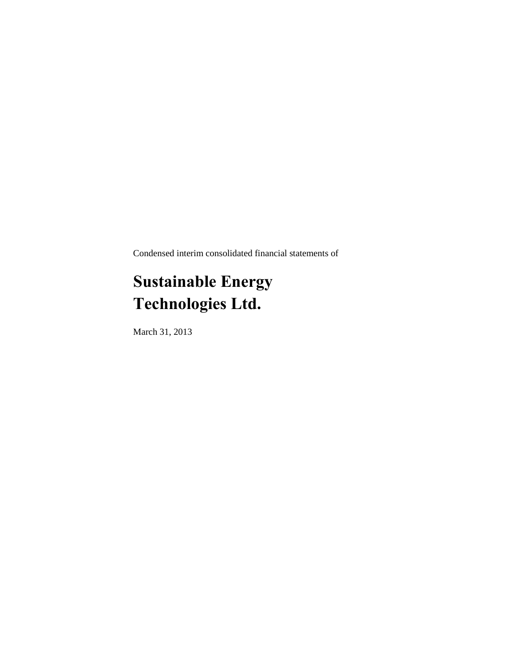Condensed interim consolidated financial statements of

# **Sustainable Energy Technologies Ltd.**

March 31, 2013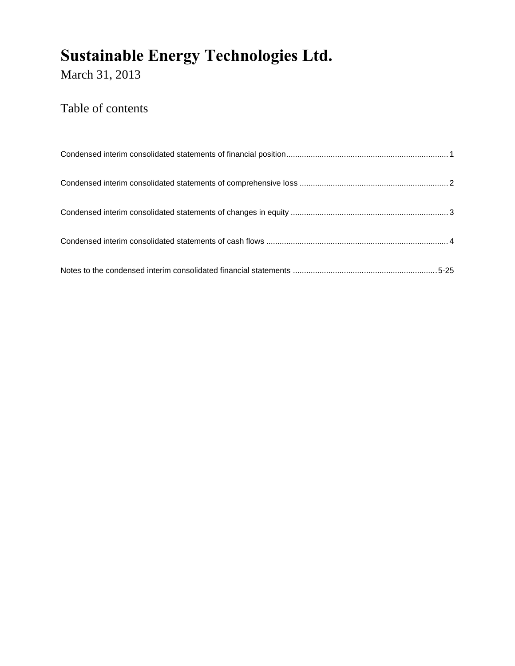March 31, 2013

### Table of contents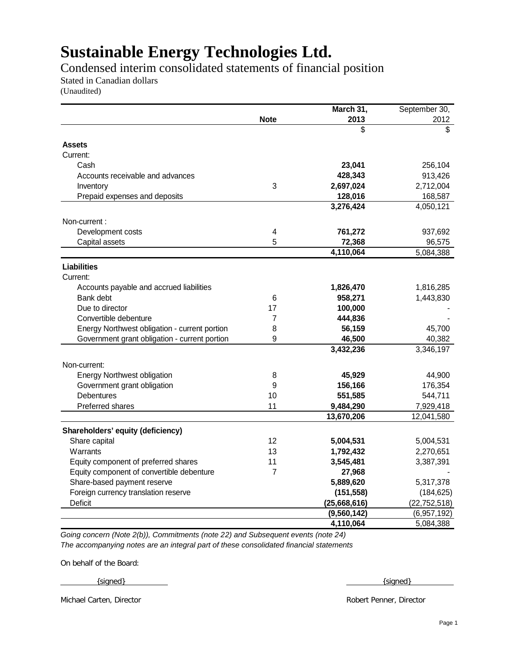Condensed interim consolidated statements of financial position

Stated in Canadian dollars

(Unaudited)

|                                                 |                   | March 31,                   | September 30,  |
|-------------------------------------------------|-------------------|-----------------------------|----------------|
|                                                 | <b>Note</b>       | 2013                        | 2012           |
|                                                 |                   | \$                          | \$             |
| <b>Assets</b>                                   |                   |                             |                |
| Current:                                        |                   |                             |                |
| Cash                                            |                   | 23,041                      | 256,104        |
| Accounts receivable and advances                |                   | 428,343                     | 913,426        |
| Inventory                                       | 3                 | 2,697,024                   | 2,712,004      |
| Prepaid expenses and deposits                   |                   | 128,016                     | 168,587        |
|                                                 |                   | 3,276,424                   | 4,050,121      |
|                                                 |                   |                             |                |
| Non-current:<br>Development costs               | 4                 | 761,272                     | 937,692        |
|                                                 |                   |                             |                |
| Capital assets                                  | 5                 | 72,368                      | 96,575         |
|                                                 |                   | 4,110,064                   | 5,084,388      |
| Liabilities                                     |                   |                             |                |
| Current:                                        |                   |                             |                |
| Accounts payable and accrued liabilities        |                   | 1,826,470                   | 1,816,285      |
| Bank debt                                       | 6                 | 958,271                     | 1,443,830      |
| Due to director                                 | 17                | 100,000                     |                |
| Convertible debenture                           | 7                 | 444,836                     |                |
| Energy Northwest obligation - current portion   | 8                 | 56,159                      | 45,700         |
| Government grant obligation - current portion   | 9                 | 46,500                      | 40,382         |
|                                                 |                   | 3,432,236                   | 3,346,197      |
| Non-current:                                    |                   |                             |                |
| <b>Energy Northwest obligation</b>              | 8                 | 45,929                      | 44,900         |
| Government grant obligation                     | 9                 | 156,166                     | 176,354        |
| <b>Debentures</b>                               | 10                | 551,585                     | 544,711        |
| Preferred shares                                | 11                | 9,484,290                   | 7,929,418      |
|                                                 |                   | 13,670,206                  | 12,041,580     |
| Shareholders' equity (deficiency)               |                   |                             |                |
| Share capital                                   | $12 \overline{ }$ | 5,004,531                   | 5,004,531      |
| Warrants                                        | 13                | 1,792,432                   | 2,270,651      |
| Equity component of preferred shares            | 11                | 3,545,481                   | 3,387,391      |
| Equity component of convertible debenture       | 7                 | 27,968                      |                |
| Share-based payment reserve                     |                   | 5,889,620                   |                |
|                                                 |                   |                             | 5,317,378      |
| Foreign currency translation reserve<br>Deficit |                   | (151, 558)                  | (184, 625)     |
|                                                 |                   | (25,668,616)<br>(9,560,142) | (22, 752, 518) |
|                                                 |                   |                             | (6,957,192)    |
|                                                 |                   | 4,110,064                   | 5,084,388      |

*Going concern (Note 2(b)), Commitments (note 22) and Subsequent events (note 24) The accompanying notes are an integral part of these consolidated financial statements*

On behalf of the Board:

{signed} and set of set of set of set of set of set of set of set of set of set of set of set of set of set of set of set of set of set of set of set of set of set of set of set of set of set of set of set of set of set of

Michael Carten, Director Robert Penner, Director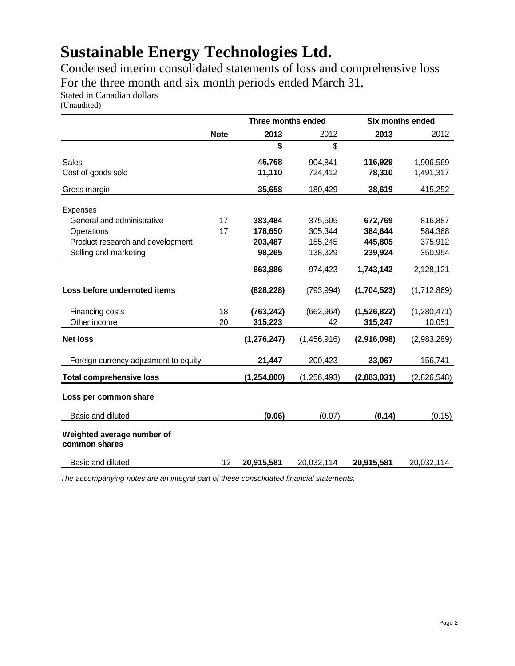Condensed interim consolidated statements of loss and comprehensive loss For the three month and six month periods ended March 31,

Stated in Canadian dollars

(Unaudited)

|                                             |             | Three months ended |               | Six months ended |             |
|---------------------------------------------|-------------|--------------------|---------------|------------------|-------------|
|                                             | <b>Note</b> | 2013               | 2012          | 2013             | 2012        |
|                                             |             | \$                 | \$            |                  |             |
| Sales                                       |             | 46,768             | 904,841       | 116,929          | 1,906,569   |
| Cost of goods sold                          |             | 11,110             | 724,412       | 78,310           | 1,491,317   |
| Gross margin                                |             | 35,658             | 180,429       | 38,619           | 415,252     |
| Expenses                                    |             |                    |               |                  |             |
| General and administrative                  | 17          | 383,484            | 375,505       | 672,769          | 816,887     |
| Operations                                  | 17          | 178,650            | 305,344       | 384,644          | 584,368     |
| Product research and development            |             | 203,487            | 155,245       | 445,805          | 375,912     |
| Selling and marketing                       |             | 98,265             | 138,329       | 239,924          | 350,954     |
|                                             |             | 863,886            | 974,423       | 1,743,142        | 2,128,121   |
| Loss before undernoted items                |             | (828, 228)         | (793, 994)    | (1,704,523)      | (1,712,869) |
| Financing costs                             | 18          | (763, 242)         | (662, 964)    | (1,526,822)      | (1,280,471) |
| Other income                                | 20          | 315,223            | 42            | 315,247          | 10,051      |
| <b>Net loss</b>                             |             | (1, 276, 247)      | (1,456,916)   | (2,916,098)      | (2,983,289) |
| Foreign currency adjustment to equity       |             | 21,447             | 200,423       | 33,067           | 156,741     |
| <b>Total comprehensive loss</b>             |             | (1, 254, 800)      | (1, 256, 493) | (2,883,031)      | (2,826,548) |
| Loss per common share                       |             |                    |               |                  |             |
| <b>Basic and diluted</b>                    |             | (0.06)             | (0.07)        | (0.14)           | (0.15)      |
| Weighted average number of<br>common shares |             |                    |               |                  |             |
| <b>Basic and diluted</b>                    | 12          | 20,915,581         | 20,032,114    | 20,915,581       | 20,032,114  |

*The accompanying notes are an integral part of these consolidated financial statements.*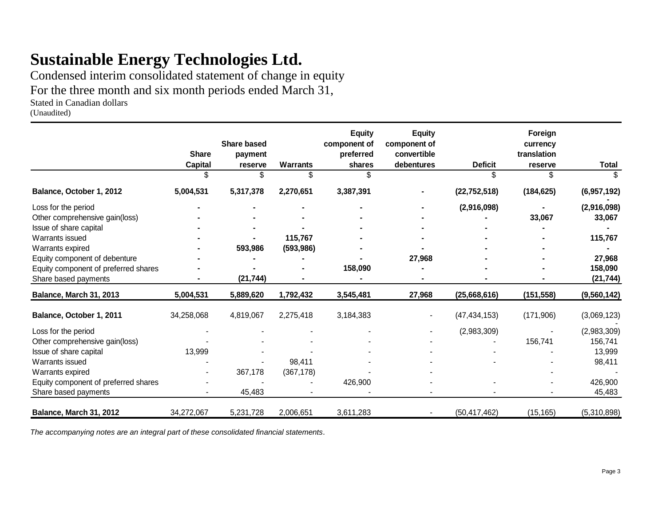Condensed interim consolidated statement of change in equity

For the three month and six month periods ended March 31,

Stated in Canadian dollars

(Unaudited)

|                                      | <b>Share</b><br>Capital | <b>Share based</b><br>payment<br>reserve | <b>Warrants</b> | <b>Equity</b><br>component of<br>preferred<br>shares | <b>Equity</b><br>component of<br>convertible<br>debentures | <b>Deficit</b> | Foreign<br>currency<br>translation<br>reserve | <b>Total</b> |
|--------------------------------------|-------------------------|------------------------------------------|-----------------|------------------------------------------------------|------------------------------------------------------------|----------------|-----------------------------------------------|--------------|
|                                      | \$.                     |                                          | \$              |                                                      |                                                            | ß.             | \$                                            |              |
| Balance, October 1, 2012             | 5,004,531               | 5,317,378                                | 2,270,651       | 3,387,391                                            |                                                            | (22, 752, 518) | (184, 625)                                    | (6,957,192)  |
| Loss for the period                  |                         |                                          |                 |                                                      |                                                            | (2,916,098)    |                                               | (2,916,098)  |
| Other comprehensive gain(loss)       |                         |                                          |                 |                                                      |                                                            |                | 33,067                                        | 33,067       |
| Issue of share capital               |                         |                                          |                 |                                                      |                                                            |                |                                               |              |
| Warrants issued                      |                         |                                          | 115,767         |                                                      |                                                            |                |                                               | 115,767      |
| Warrants expired                     |                         | 593,986                                  | (593, 986)      |                                                      |                                                            |                |                                               |              |
| Equity component of debenture        |                         |                                          |                 |                                                      | 27,968                                                     |                |                                               | 27,968       |
| Equity component of preferred shares |                         |                                          |                 | 158,090                                              |                                                            |                |                                               | 158,090      |
| Share based payments                 |                         | (21, 744)                                |                 |                                                      |                                                            |                |                                               | (21, 744)    |
| Balance, March 31, 2013              | 5,004,531               | 5,889,620                                | 1,792,432       | 3,545,481                                            | 27,968                                                     | (25,668,616)   | (151, 558)                                    | (9,560,142)  |
| Balance, October 1, 2011             | 34,258,068              | 4,819,067                                | 2,275,418       | 3,184,383                                            |                                                            | (47, 434, 153) | (171,906)                                     | (3,069,123)  |
| Loss for the period                  |                         |                                          |                 |                                                      |                                                            | (2,983,309)    |                                               | (2,983,309)  |
| Other comprehensive gain(loss)       |                         |                                          |                 |                                                      |                                                            |                | 156,741                                       | 156,741      |
| Issue of share capital               | 13,999                  |                                          |                 |                                                      |                                                            |                |                                               | 13,999       |
| Warrants issued                      |                         |                                          | 98,411          |                                                      |                                                            |                |                                               | 98,411       |
| Warrants expired                     |                         | 367,178                                  | (367, 178)      |                                                      |                                                            |                |                                               |              |
| Equity component of preferred shares |                         |                                          |                 | 426,900                                              |                                                            |                |                                               | 426,900      |
| Share based payments                 |                         | 45,483                                   |                 |                                                      |                                                            |                |                                               | 45,483       |
| Balance, March 31, 2012              | 34,272,067              | 5,231,728                                | 2,006,651       | 3,611,283                                            |                                                            | (50, 417, 462) | (15, 165)                                     | (5,310,898)  |

*The accompanying notes are an integral part of these consolidated financial statements.*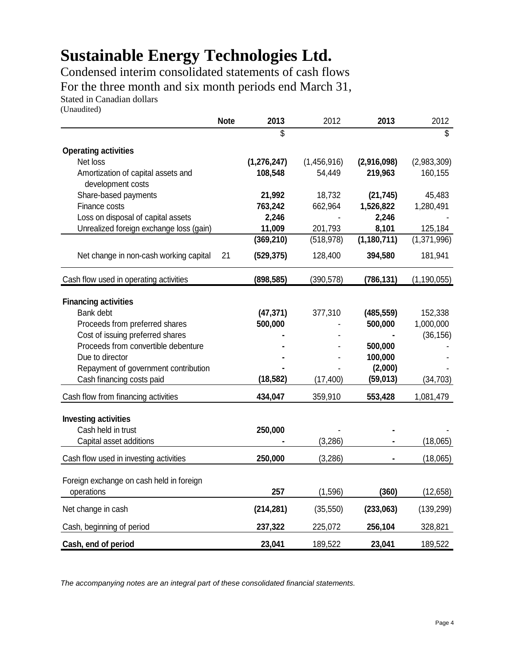Condensed interim consolidated statements of cash flows For the three month and six month periods end March 31,

Stated in Canadian dollars

(Unaudited)

|                                                         | <b>Note</b> | 2013          | 2012        | 2013          | 2012          |
|---------------------------------------------------------|-------------|---------------|-------------|---------------|---------------|
|                                                         |             | \$            |             |               | \$            |
| <b>Operating activities</b>                             |             |               |             |               |               |
| Net loss                                                |             | (1, 276, 247) | (1,456,916) | (2,916,098)   | (2,983,309)   |
| Amortization of capital assets and<br>development costs |             | 108,548       | 54,449      | 219,963       | 160,155       |
| Share-based payments                                    |             | 21,992        | 18,732      | (21, 745)     | 45,483        |
| Finance costs                                           |             | 763,242       | 662,964     | 1,526,822     | 1,280,491     |
| Loss on disposal of capital assets                      |             | 2,246         |             | 2,246         |               |
| Unrealized foreign exchange loss (gain)                 |             | 11,009        | 201,793     | 8,101         | 125,184       |
|                                                         |             | (369, 210)    | (518, 978)  | (1, 180, 711) | (1,371,996)   |
| Net change in non-cash working capital                  | 21          | (529, 375)    | 128,400     | 394,580       | 181,941       |
| Cash flow used in operating activities                  |             | (898, 585)    | (390, 578)  | (786, 131)    | (1, 190, 055) |
| <b>Financing activities</b>                             |             |               |             |               |               |
| Bank debt                                               |             | (47, 371)     | 377,310     | (485, 559)    | 152,338       |
| Proceeds from preferred shares                          |             | 500,000       |             | 500,000       | 1,000,000     |
| Cost of issuing preferred shares                        |             |               |             |               | (36, 156)     |
| Proceeds from convertible debenture                     |             |               |             | 500,000       |               |
| Due to director                                         |             |               |             | 100,000       |               |
| Repayment of government contribution                    |             |               |             | (2,000)       |               |
| Cash financing costs paid                               |             | (18, 582)     | (17, 400)   | (59, 013)     | (34, 703)     |
| Cash flow from financing activities                     |             | 434,047       | 359,910     | 553,428       | 1,081,479     |
| <b>Investing activities</b>                             |             |               |             |               |               |
| Cash held in trust                                      |             | 250,000       |             |               |               |
| Capital asset additions                                 |             |               | (3,286)     |               | (18,065)      |
| Cash flow used in investing activities                  |             | 250,000       | (3,286)     |               | (18,065)      |
|                                                         |             |               |             |               |               |
| Foreign exchange on cash held in foreign                |             |               |             |               |               |
| operations                                              |             | 257           | (1,596)     | (360)         | (12, 658)     |
| Net change in cash                                      |             | (214, 281)    | (35, 550)   | (233,063)     | (139, 299)    |
| Cash, beginning of period                               |             | 237,322       | 225,072     | 256,104       | 328,821       |
| Cash, end of period                                     |             | 23,041        | 189,522     | 23,041        | 189,522       |

*The accompanying notes are an integral part of these consolidated financial statements.*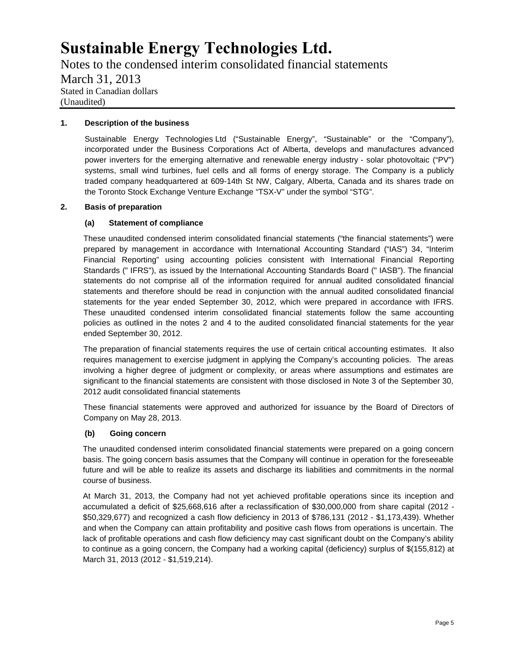Notes to the condensed interim consolidated financial statements March 31, 2013 Stated in Canadian dollars (Unaudited)

#### **1. Description of the business**

Sustainable Energy Technologies Ltd ("Sustainable Energy", "Sustainable" or the "Company"), incorporated under the Business Corporations Act of Alberta, develops and manufactures advanced power inverters for the emerging alternative and renewable energy industry - solar photovoltaic ("PV") systems, small wind turbines, fuel cells and all forms of energy storage. The Company is a publicly traded company headquartered at 609-14th St NW, Calgary, Alberta, Canada and its shares trade on the Toronto Stock Exchange Venture Exchange "TSX-V" under the symbol "STG".

#### **2. Basis of preparation**

#### **(a) Statement of compliance**

These unaudited condensed interim consolidated financial statements ("the financial statements") were prepared by management in accordance with International Accounting Standard ("IAS") 34, "Interim Financial Reporting" using accounting policies consistent with International Financial Reporting Standards (" IFRS"), as issued by the International Accounting Standards Board (" IASB"). The financial statements do not comprise all of the information required for annual audited consolidated financial statements and therefore should be read in conjunction with the annual audited consolidated financial statements for the year ended September 30, 2012, which were prepared in accordance with IFRS. These unaudited condensed interim consolidated financial statements follow the same accounting policies as outlined in the notes 2 and 4 to the audited consolidated financial statements for the year ended September 30, 2012.

The preparation of financial statements requires the use of certain critical accounting estimates. It also requires management to exercise judgment in applying the Company's accounting policies. The areas involving a higher degree of judgment or complexity, or areas where assumptions and estimates are significant to the financial statements are consistent with those disclosed in Note 3 of the September 30, 2012 audit consolidated financial statements

These financial statements were approved and authorized for issuance by the Board of Directors of Company on May 28, 2013.

#### **(b) Going concern**

The unaudited condensed interim consolidated financial statements were prepared on a going concern basis. The going concern basis assumes that the Company will continue in operation for the foreseeable future and will be able to realize its assets and discharge its liabilities and commitments in the normal course of business.

At March 31, 2013, the Company had not yet achieved profitable operations since its inception and accumulated a deficit of \$25,668,616 after a reclassification of \$30,000,000 from share capital (2012 - \$50,329,677) and recognized a cash flow deficiency in 2013 of \$786,131 (2012 - \$1,173,439). Whether and when the Company can attain profitability and positive cash flows from operations is uncertain. The lack of profitable operations and cash flow deficiency may cast significant doubt on the Company's ability to continue as a going concern, the Company had a working capital (deficiency) surplus of \$(155,812) at March 31, 2013 (2012 - \$1,519,214).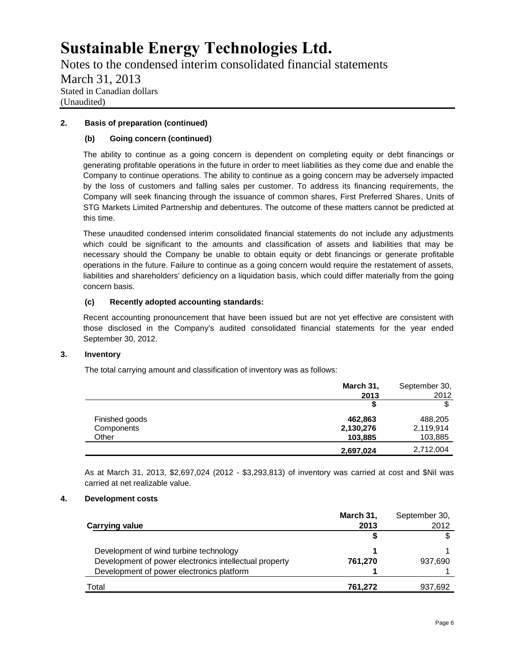Notes to the condensed interim consolidated financial statements March 31, 2013 Stated in Canadian dollars (Unaudited)

### **2. Basis of preparation (continued)**

### **(b) Going concern (continued)**

The ability to continue as a going concern is dependent on completing equity or debt financings or generating profitable operations in the future in order to meet liabilities as they come due and enable the Company to continue operations. The ability to continue as a going concern may be adversely impacted by the loss of customers and falling sales per customer. To address its financing requirements, the Company will seek financing through the issuance of common shares, First Preferred Shares, Units of STG Markets Limited Partnership and debentures. The outcome of these matters cannot be predicted at this time.

These unaudited condensed interim consolidated financial statements do not include any adjustments which could be significant to the amounts and classification of assets and liabilities that may be necessary should the Company be unable to obtain equity or debt financings or generate profitable operations in the future. Failure to continue as a going concern would require the restatement of assets, liabilities and shareholders' deficiency on a liquidation basis, which could differ materially from the going concern basis.

### **(c) Recently adopted accounting standards:**

Recent accounting pronouncement that have been issued but are not yet effective are consistent with those disclosed in the Company's audited consolidated financial statements for the year ended September 30, 2012.

### **3. Inventory**

The total carrying amount and classification of inventory was as follows:

|                | March 31, | September 30, |
|----------------|-----------|---------------|
|                | 2013      | 2012          |
|                |           |               |
| Finished goods | 462,863   | 488,205       |
| Components     | 2,130,276 | 2,119,914     |
| Other          | 103,885   | 103,885       |
|                | 2,697,024 | 2,712,004     |

As at March 31, 2013, \$2,697,024 (2012 - \$3,293,813) of inventory was carried at cost and \$Nil was carried at net realizable value.

### **4. Development costs**

|                                                        | March 31, | September 30, |
|--------------------------------------------------------|-----------|---------------|
| Carrying value                                         | 2013      | 2012          |
|                                                        |           |               |
| Development of wind turbine technology                 |           |               |
| Development of power electronics intellectual property | 761.270   | 937,690       |
| Development of power electronics platform              |           |               |
| Total                                                  | 761.272   | 937.692       |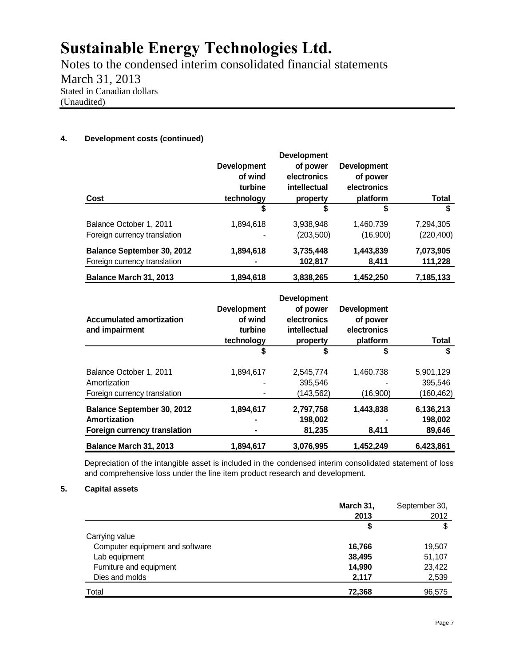Notes to the condensed interim consolidated financial statements March 31, 2013 Stated in Canadian dollars (Unaudited)

### **4. Development costs (continued)**

| Cost                                                              | <b>Development</b><br>of wind<br>turbine<br>technology | <b>Development</b><br>of power<br>electronics<br>intellectual<br>property | <b>Development</b><br>of power<br>electronics<br>platform | Total                   |
|-------------------------------------------------------------------|--------------------------------------------------------|---------------------------------------------------------------------------|-----------------------------------------------------------|-------------------------|
|                                                                   | S                                                      | S                                                                         |                                                           | \$                      |
| Balance October 1, 2011<br>Foreign currency translation           | 1,894,618                                              | 3,938,948<br>(203, 500)                                                   | 1,460,739<br>(16,900)                                     | 7,294,305<br>(220, 400) |
| <b>Balance September 30, 2012</b><br>Foreign currency translation | 1,894,618                                              | 3,735,448<br>102,817                                                      | 1,443,839<br>8,411                                        | 7,073,905<br>111,228    |
| Balance March 31, 2013                                            | 1,894,618                                              | 3,838,265                                                                 | 1,452,250                                                 | 7,185,133               |

| <b>Accumulated amortization</b><br>and impairment | <b>Development</b><br>of wind<br>turbine<br>technology | <b>Development</b><br>of power<br>electronics<br>intellectual<br>property | <b>Development</b><br>of power<br>electronics<br>platform | Total      |
|---------------------------------------------------|--------------------------------------------------------|---------------------------------------------------------------------------|-----------------------------------------------------------|------------|
|                                                   | \$                                                     | \$                                                                        | \$                                                        | \$         |
| Balance October 1, 2011                           | 1,894,617                                              | 2.545.774                                                                 | 1,460,738                                                 | 5,901,129  |
| Amortization                                      |                                                        | 395.546                                                                   |                                                           | 395.546    |
| Foreign currency translation                      |                                                        | (143, 562)                                                                | (16,900)                                                  | (160, 462) |
| Balance September 30, 2012                        | 1,894,617                                              | 2,797,758                                                                 | 1,443,838                                                 | 6,136,213  |
| Amortization                                      |                                                        | 198,002                                                                   |                                                           | 198,002    |
| Foreign currency translation                      |                                                        | 81,235                                                                    | 8,411                                                     | 89,646     |
| Balance March 31, 2013                            | 1,894,617                                              | 3,076,995                                                                 | 1,452,249                                                 | 6,423,861  |

Depreciation of the intangible asset is included in the condensed interim consolidated statement of loss and comprehensive loss under the line item product research and development.

### **5. Capital assets**

|                                 | March 31, | September 30, |
|---------------------------------|-----------|---------------|
|                                 | 2013      | 2012          |
|                                 | S         | \$            |
| Carrying value                  |           |               |
| Computer equipment and software | 16,766    | 19,507        |
| Lab equipment                   | 38,495    | 51,107        |
| Furniture and equipment         | 14,990    | 23,422        |
| Dies and molds                  | 2,117     | 2,539         |
| Total                           | 72,368    | 96,575        |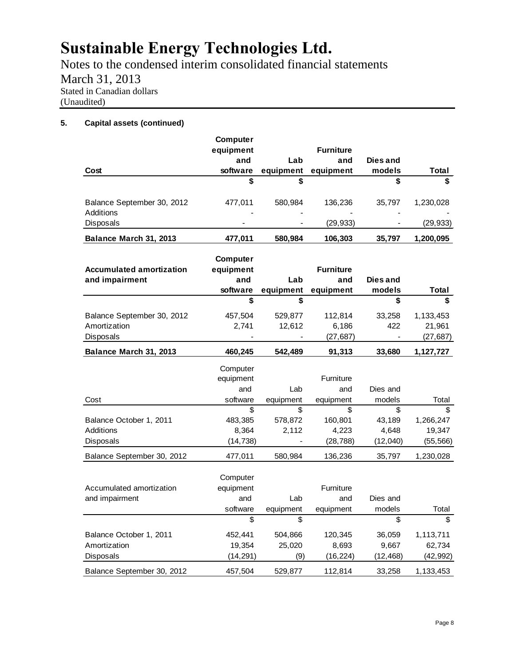Notes to the condensed interim consolidated financial statements March 31, 2013 Stated in Canadian dollars (Unaudited)

### **5. Capital assets (continued)**

|                                                         | <b>Computer</b>                          |                        |                                      |                       |                     |
|---------------------------------------------------------|------------------------------------------|------------------------|--------------------------------------|-----------------------|---------------------|
|                                                         | equipment                                |                        | <b>Furniture</b>                     |                       |                     |
|                                                         | and                                      | Lab                    | and                                  | Dies and              |                     |
| Cost                                                    | software                                 | equipment              | equipment                            | models                | Total               |
|                                                         | \$                                       | \$                     |                                      | \$                    | \$                  |
| Balance September 30, 2012<br>Additions                 | 477,011                                  | 580,984                | 136,236                              | 35,797                | 1,230,028           |
| Disposals                                               |                                          |                        | (29, 933)                            |                       | (29, 933)           |
| Balance March 31, 2013                                  | 477,011                                  | 580,984                | 106,303                              | 35,797                | 1,200,095           |
| <b>Accumulated amortization</b><br>and impairment       | Computer<br>equipment<br>and<br>software | Lab<br>equipment       | <b>Furniture</b><br>and<br>equipment | Dies and<br>models    | Total               |
|                                                         | \$                                       | \$                     |                                      | \$                    | \$                  |
| Balance September 30, 2012<br>Amortization<br>Disposals | 457,504<br>2,741                         | 529,877<br>12,612      | 112,814<br>6,186                     | 33,258<br>422         | 1,133,453<br>21,961 |
|                                                         |                                          |                        | (27, 687)                            |                       | (27, 687)           |
|                                                         |                                          |                        |                                      |                       |                     |
| Balance March 31, 2013                                  | 460,245                                  | 542,489                | 91,313                               | 33,680                | 1,127,727           |
|                                                         | Computer<br>equipment                    |                        | Furniture                            |                       |                     |
|                                                         | and                                      | Lab                    | and                                  | Dies and              |                     |
| Cost                                                    | software                                 | equipment              | equipment                            | models                | Total<br>\$         |
| Balance October 1, 2011<br>Additions                    | \$<br>483,385<br>8,364                   | \$<br>578,872<br>2,112 | \$<br>160,801<br>4,223               | \$<br>43,189<br>4,648 | 1,266,247<br>19,347 |
| Disposals                                               | (14, 738)                                |                        | (28, 788)                            | (12,040)              | (55, 566)           |
| Balance September 30, 2012                              | 477,011                                  | 580,984                | 136,236                              | 35,797                | 1,230,028           |
| Accumulated amortization<br>and impairment              | Computer<br>equipment<br>and<br>software | Lab<br>equipment       | Furniture<br>and<br>equipment        | Dies and<br>models    | Total               |
|                                                         | \$                                       | \$                     |                                      | \$                    | \$.                 |

Disposals (14,291) (9) (16,224) (12,468) (42,992) Balance September 30, 2012 457,504 529,877 112,814 33,258 1,133,453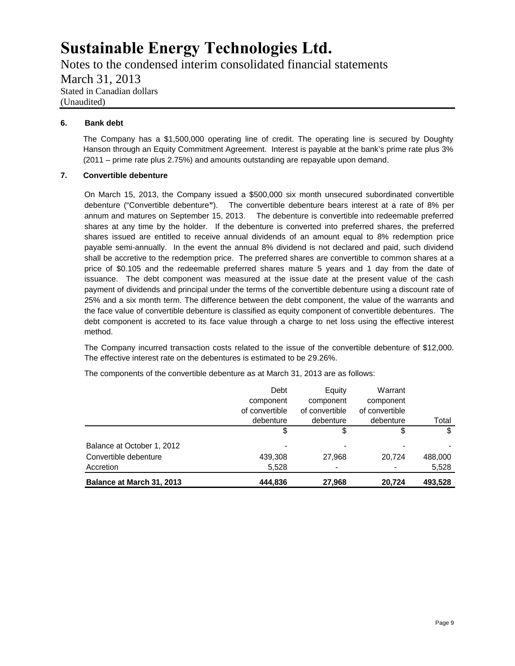Notes to the condensed interim consolidated financial statements March 31, 2013 Stated in Canadian dollars (Unaudited)

### **6. Bank debt**

The Company has a \$1,500,000 operating line of credit. The operating line is secured by Doughty Hanson through an Equity Commitment Agreement. Interest is payable at the bank's prime rate plus 3% (2011 – prime rate plus 2.75%) and amounts outstanding are repayable upon demand.

### **7. Convertible debenture**

On March 15, 2013, the Company issued a \$500,000 six month unsecured subordinated convertible debenture ("Convertible debenture**"**). The convertible debenture bears interest at a rate of 8% per annum and matures on September 15, 2013. The debenture is convertible into redeemable preferred shares at any time by the holder. If the debenture is converted into preferred shares, the preferred shares issued are entitled to receive annual dividends of an amount equal to 8% redemption price payable semi-annually. In the event the annual 8% dividend is not declared and paid, such dividend shall be accretive to the redemption price. The preferred shares are convertible to common shares at a price of \$0.105 and the redeemable preferred shares mature 5 years and 1 day from the date of issuance. The debt component was measured at the issue date at the present value of the cash payment of dividends and principal under the terms of the convertible debenture using a discount rate of 25% and a six month term. The difference between the debt component, the value of the warrants and the face value of convertible debenture is classified as equity component of convertible debentures. The debt component is accreted to its face value through a charge to net loss using the effective interest method.

The Company incurred transaction costs related to the issue of the convertible debenture of \$12,000. The effective interest rate on the debentures is estimated to be 29.26%.

|                            | Debt           | Equity         | Warrant        |         |
|----------------------------|----------------|----------------|----------------|---------|
|                            | component      | component      | component      |         |
|                            | of convertible | of convertible | of convertible |         |
|                            | debenture      | debenture      | debenture      | Total   |
|                            | \$             | \$             | \$             | \$      |
| Balance at October 1, 2012 |                |                |                | -       |
| Convertible debenture      | 439,308        | 27.968         | 20,724         | 488,000 |
| Accretion                  | 5,528          | $\blacksquare$ |                | 5,528   |
| Balance at March 31, 2013  | 444,836        | 27,968         | 20.724         | 493,528 |

The components of the convertible debenture as at March 31, 2013 are as follows: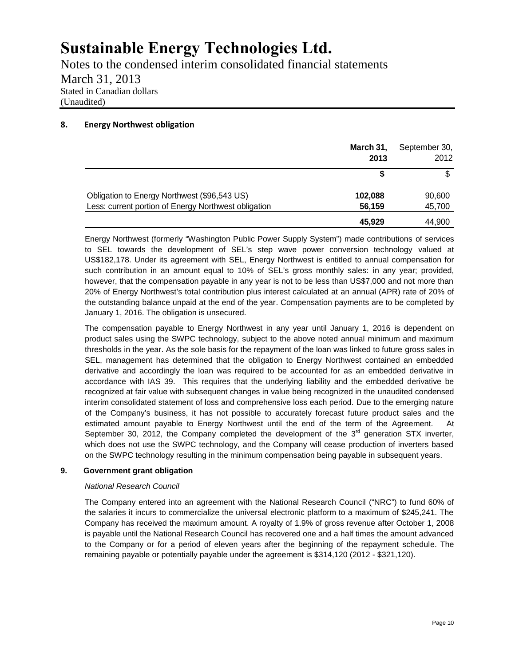Notes to the condensed interim consolidated financial statements March 31, 2013 Stated in Canadian dollars (Unaudited)

### **8. Energy Northwest obligation**

|                                                      | March 31,<br>2013 | September 30,<br>2012 |
|------------------------------------------------------|-------------------|-----------------------|
|                                                      |                   |                       |
| Obligation to Energy Northwest (\$96,543 US)         | 102,088           | 90,600                |
| Less: current portion of Energy Northwest obligation | 56,159            | 45,700                |
|                                                      | 45,929            | 44,900                |

Energy Northwest (formerly "Washington Public Power Supply System") made contributions of services to SEL towards the development of SEL's step wave power conversion technology valued at US\$182,178. Under its agreement with SEL, Energy Northwest is entitled to annual compensation for such contribution in an amount equal to 10% of SEL's gross monthly sales: in any year; provided, however, that the compensation payable in any year is not to be less than US\$7,000 and not more than 20% of Energy Northwest's total contribution plus interest calculated at an annual (APR) rate of 20% of the outstanding balance unpaid at the end of the year. Compensation payments are to be completed by January 1, 2016. The obligation is unsecured.

The compensation payable to Energy Northwest in any year until January 1, 2016 is dependent on product sales using the SWPC technology, subject to the above noted annual minimum and maximum thresholds in the year. As the sole basis for the repayment of the loan was linked to future gross sales in SEL, management has determined that the obligation to Energy Northwest contained an embedded derivative and accordingly the loan was required to be accounted for as an embedded derivative in accordance with IAS 39. This requires that the underlying liability and the embedded derivative be recognized at fair value with subsequent changes in value being recognized in the unaudited condensed interim consolidated statement of loss and comprehensive loss each period. Due to the emerging nature of the Company's business, it has not possible to accurately forecast future product sales and the estimated amount payable to Energy Northwest until the end of the term of the Agreement. At September 30, 2012, the Company completed the development of the  $3<sup>rd</sup>$  generation STX inverter, which does not use the SWPC technology, and the Company will cease production of inverters based on the SWPC technology resulting in the minimum compensation being payable in subsequent years.

### **9. Government grant obligation**

### *National Research Council*

The Company entered into an agreement with the National Research Council ("NRC") to fund 60% of the salaries it incurs to commercialize the universal electronic platform to a maximum of \$245,241. The Company has received the maximum amount. A royalty of 1.9% of gross revenue after October 1, 2008 is payable until the National Research Council has recovered one and a half times the amount advanced to the Company or for a period of eleven years after the beginning of the repayment schedule. The remaining payable or potentially payable under the agreement is \$314,120 (2012 - \$321,120).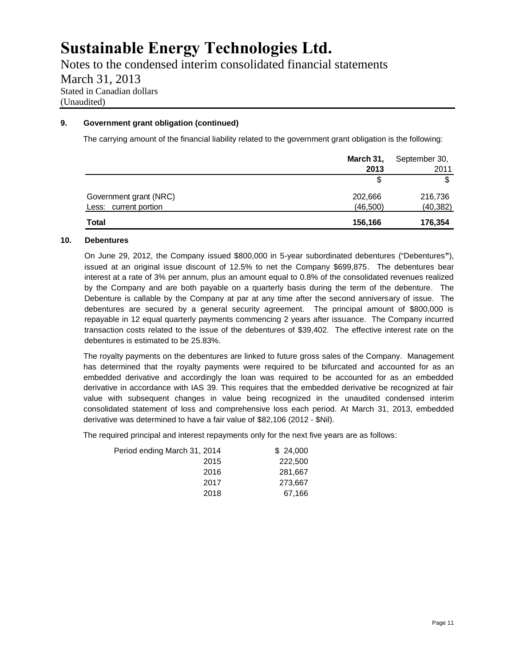Notes to the condensed interim consolidated financial statements March 31, 2013 Stated in Canadian dollars (Unaudited)

### **9. Government grant obligation (continued)**

The carrying amount of the financial liability related to the government grant obligation is the following:

|                        | March 31, | September 30,<br>2011 |  |
|------------------------|-----------|-----------------------|--|
|                        | 2013      |                       |  |
|                        |           | \$                    |  |
| Government grant (NRC) | 202,666   | 216,736               |  |
| Less: current portion  | (46, 500) | (40, 382)             |  |
| <b>Total</b>           | 156,166   | 176,354               |  |

### **10. Debentures**

On June 29, 2012, the Company issued \$800,000 in 5-year subordinated debentures ("Debentures**"**), issued at an original issue discount of 12.5% to net the Company \$699,875. The debentures bear interest at a rate of 3% per annum, plus an amount equal to 0.8% of the consolidated revenues realized by the Company and are both payable on a quarterly basis during the term of the debenture. The Debenture is callable by the Company at par at any time after the second anniversary of issue. The debentures are secured by a general security agreement. The principal amount of \$800,000 is repayable in 12 equal quarterly payments commencing 2 years after issuance. The Company incurred transaction costs related to the issue of the debentures of \$39,402. The effective interest rate on the debentures is estimated to be 25.83%.

The royalty payments on the debentures are linked to future gross sales of the Company. Management has determined that the royalty payments were required to be bifurcated and accounted for as an embedded derivative and accordingly the loan was required to be accounted for as an embedded derivative in accordance with IAS 39. This requires that the embedded derivative be recognized at fair value with subsequent changes in value being recognized in the unaudited condensed interim consolidated statement of loss and comprehensive loss each period. At March 31, 2013, embedded derivative was determined to have a fair value of \$82,106 (2012 - \$Nil).

The required principal and interest repayments only for the next five years are as follows:

| Period ending March 31, 2014 | \$24,000 |
|------------------------------|----------|
| 2015                         | 222,500  |
| 2016                         | 281,667  |
| 2017                         | 273,667  |
| 2018                         | 67,166   |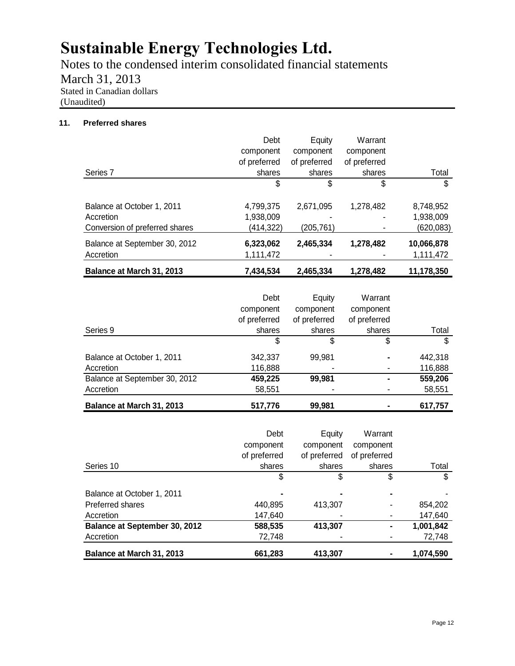Notes to the condensed interim consolidated financial statements March 31, 2013 Stated in Canadian dollars (Unaudited)

### **11. Preferred shares**

|                                | Debt         | Equity       | Warrant      |            |
|--------------------------------|--------------|--------------|--------------|------------|
|                                | component    | component    | component    |            |
|                                | of preferred | of preferred | of preferred |            |
| Series <sub>7</sub>            | shares       | shares       | shares       | Total      |
|                                | \$           | \$           | \$           | \$         |
| Balance at October 1, 2011     | 4,799,375    | 2,671,095    | 1,278,482    | 8,748,952  |
| Accretion                      | 1,938,009    |              |              | 1,938,009  |
| Conversion of preferred shares | (414,322)    | (205, 761)   |              | (620, 083) |
| Balance at September 30, 2012  | 6,323,062    | 2,465,334    | 1,278,482    | 10,066,878 |
| Accretion                      | 1,111,472    |              |              | 1,111,472  |
| Balance at March 31, 2013      | 7,434,534    | 2,465,334    | 1,278,482    | 11,178,350 |

|                                  | Debt         | Equity       | Warrant      |         |
|----------------------------------|--------------|--------------|--------------|---------|
|                                  | component    | component    | component    |         |
|                                  | of preferred | of preferred | of preferred |         |
| Series 9                         | shares       | shares       | shares       | Total   |
|                                  | \$           | S            | \$           | \$      |
| Balance at October 1, 2011       | 342,337      | 99,981       |              | 442,318 |
| Accretion                        | 116,888      |              |              | 116,888 |
| Balance at September 30, 2012    | 459,225      | 99,981       |              | 559,206 |
| Accretion                        | 58,551       |              |              | 58,551  |
| <b>Balance at March 31, 2013</b> | 517,776      | 99.981       |              | 617,757 |

|                                      | Debt         | Equity       | Warrant      |           |
|--------------------------------------|--------------|--------------|--------------|-----------|
|                                      | component    | component    | component    |           |
|                                      | of preferred | of preferred | of preferred |           |
| Series 10                            | shares       | shares       | shares       | Total     |
|                                      | \$           | S            | S            | S         |
| Balance at October 1, 2011           |              |              |              |           |
| Preferred shares                     | 440,895      | 413,307      |              | 854,202   |
| Accretion                            | 147,640      |              |              | 147,640   |
| <b>Balance at September 30, 2012</b> | 588,535      | 413,307      |              | 1,001,842 |
| Accretion                            | 72,748       |              |              | 72,748    |
| Balance at March 31, 2013            | 661,283      | 413,307      |              | 1,074,590 |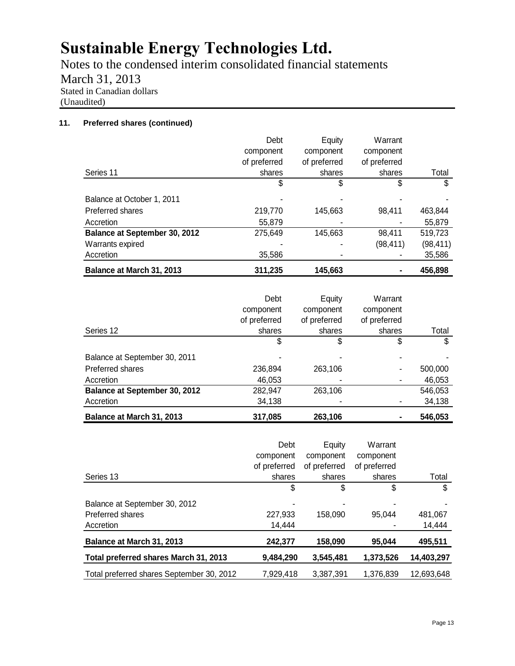Notes to the condensed interim consolidated financial statements March 31, 2013 Stated in Canadian dollars (Unaudited)

### **11. Preferred shares (continued)**

| Balance at March 31, 2013            | 311,235      | 145,663      |              | 456,898   |
|--------------------------------------|--------------|--------------|--------------|-----------|
| Accretion                            | 35,586       |              |              | 35,586    |
| Warrants expired                     |              |              | (98, 411)    | (98, 411) |
| <b>Balance at September 30, 2012</b> | 275,649      | 145,663      | 98,411       | 519,723   |
| Accretion                            | 55,879       |              |              | 55,879    |
| Preferred shares                     | 219,770      | 145,663      | 98.411       | 463,844   |
| Balance at October 1, 2011           |              |              |              |           |
|                                      | \$           | \$           | S            | \$        |
| Series 11                            | shares       | shares       | shares       | Total     |
|                                      | of preferred | of preferred | of preferred |           |
|                                      | component    | component    | component    |           |
|                                      | Debt         | Equity       | Warrant      |           |

|                               | Debt<br>component | Equity<br>component | Warrant<br>component |         |
|-------------------------------|-------------------|---------------------|----------------------|---------|
|                               | of preferred      | of preferred        | of preferred         |         |
| Series 12                     | shares            | shares              | shares               | Total   |
|                               | \$                | \$                  | \$                   | \$      |
| Balance at September 30, 2011 |                   |                     |                      |         |
| Preferred shares              | 236,894           | 263,106             |                      | 500,000 |
| Accretion                     | 46,053            |                     |                      | 46,053  |
| Balance at September 30, 2012 | 282,947           | 263,106             |                      | 546,053 |
| Accretion                     | 34,138            |                     |                      | 34,138  |
| Balance at March 31, 2013     | 317,085           | 263,106             |                      | 546,053 |

|                                           | Debt         | Equity       | Warrant      |            |
|-------------------------------------------|--------------|--------------|--------------|------------|
|                                           | component    | component    | component    |            |
|                                           | of preferred | of preferred | of preferred |            |
| Series 13                                 | shares       | shares       | shares       | Total      |
|                                           | \$           | \$           | S            | \$         |
| Balance at September 30, 2012             | -            |              |              |            |
| Preferred shares                          | 227,933      | 158,090      | 95,044       | 481,067    |
| Accretion                                 | 14.444       |              |              | 14,444     |
| Balance at March 31, 2013                 | 242,377      | 158,090      | 95,044       | 495,511    |
| Total preferred shares March 31, 2013     | 9,484,290    | 3.545.481    | 1,373,526    | 14,403,297 |
| Total preferred shares September 30, 2012 | 7.929.418    | 3.387.391    | 1.376.839    | 12.693.648 |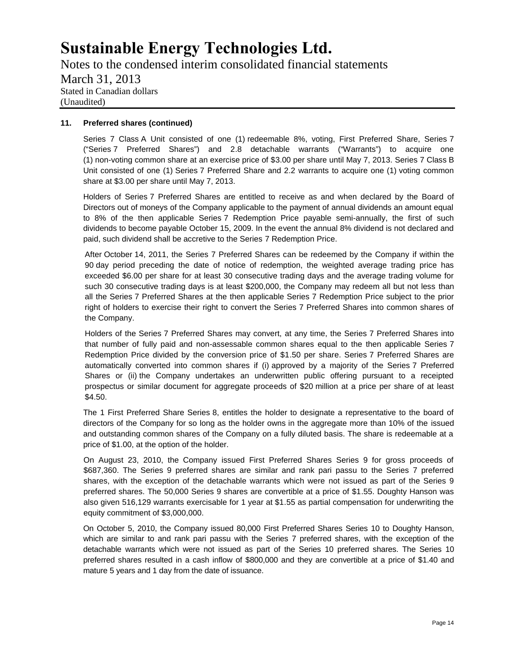Notes to the condensed interim consolidated financial statements March 31, 2013 Stated in Canadian dollars (Unaudited)

#### **11. Preferred shares (continued)**

Series 7 Class A Unit consisted of one (1) redeemable 8%, voting, First Preferred Share, Series 7 ("Series 7 Preferred Shares") and 2.8 detachable warrants ("Warrants") to acquire one (1) non-voting common share at an exercise price of \$3.00 per share until May 7, 2013. Series 7 Class B Unit consisted of one (1) Series 7 Preferred Share and 2.2 warrants to acquire one (1) voting common share at \$3.00 per share until May 7, 2013.

Holders of Series 7 Preferred Shares are entitled to receive as and when declared by the Board of Directors out of moneys of the Company applicable to the payment of annual dividends an amount equal to 8% of the then applicable Series 7 Redemption Price payable semi-annually, the first of such dividends to become payable October 15, 2009. In the event the annual 8% dividend is not declared and paid, such dividend shall be accretive to the Series 7 Redemption Price.

After October 14, 2011, the Series 7 Preferred Shares can be redeemed by the Company if within the 90 day period preceding the date of notice of redemption, the weighted average trading price has exceeded \$6.00 per share for at least 30 consecutive trading days and the average trading volume for such 30 consecutive trading days is at least \$200,000, the Company may redeem all but not less than all the Series 7 Preferred Shares at the then applicable Series 7 Redemption Price subject to the prior right of holders to exercise their right to convert the Series 7 Preferred Shares into common shares of the Company.

Holders of the Series 7 Preferred Shares may convert, at any time, the Series 7 Preferred Shares into that number of fully paid and non-assessable common shares equal to the then applicable Series 7 Redemption Price divided by the conversion price of \$1.50 per share. Series 7 Preferred Shares are automatically converted into common shares if (i) approved by a majority of the Series 7 Preferred Shares or (ii) the Company undertakes an underwritten public offering pursuant to a receipted prospectus or similar document for aggregate proceeds of \$20 million at a price per share of at least \$4.50.

The 1 First Preferred Share Series 8, entitles the holder to designate a representative to the board of directors of the Company for so long as the holder owns in the aggregate more than 10% of the issued and outstanding common shares of the Company on a fully diluted basis. The share is redeemable at a price of \$1.00, at the option of the holder.

On August 23, 2010, the Company issued First Preferred Shares Series 9 for gross proceeds of \$687,360. The Series 9 preferred shares are similar and rank pari passu to the Series 7 preferred shares, with the exception of the detachable warrants which were not issued as part of the Series 9 preferred shares. The 50,000 Series 9 shares are convertible at a price of \$1.55. Doughty Hanson was also given 516,129 warrants exercisable for 1 year at \$1.55 as partial compensation for underwriting the equity commitment of \$3,000,000.

On October 5, 2010, the Company issued 80,000 First Preferred Shares Series 10 to Doughty Hanson, which are similar to and rank pari passu with the Series 7 preferred shares, with the exception of the detachable warrants which were not issued as part of the Series 10 preferred shares. The Series 10 preferred shares resulted in a cash inflow of \$800,000 and they are convertible at a price of \$1.40 and mature 5 years and 1 day from the date of issuance.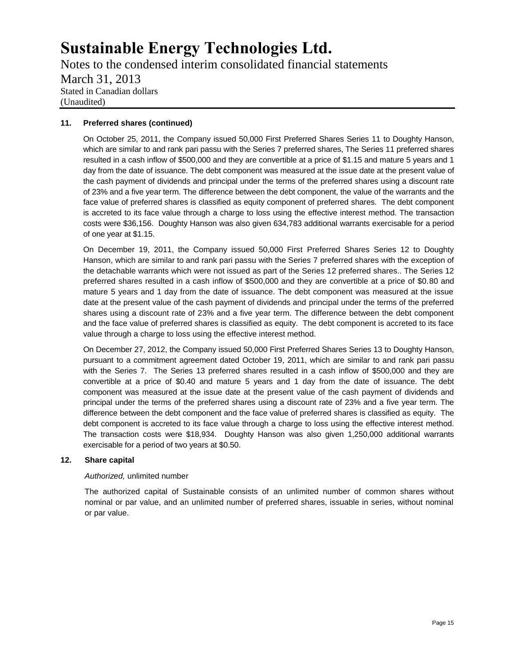Notes to the condensed interim consolidated financial statements March 31, 2013 Stated in Canadian dollars (Unaudited)

### **11. Preferred shares (continued)**

On October 25, 2011, the Company issued 50,000 First Preferred Shares Series 11 to Doughty Hanson, which are similar to and rank pari passu with the Series 7 preferred shares, The Series 11 preferred shares resulted in a cash inflow of \$500,000 and they are convertible at a price of \$1.15 and mature 5 years and 1 day from the date of issuance. The debt component was measured at the issue date at the present value of the cash payment of dividends and principal under the terms of the preferred shares using a discount rate of 23% and a five year term. The difference between the debt component, the value of the warrants and the face value of preferred shares is classified as equity component of preferred shares. The debt component is accreted to its face value through a charge to loss using the effective interest method. The transaction costs were \$36,156. Doughty Hanson was also given 634,783 additional warrants exercisable for a period of one year at \$1.15.

On December 19, 2011, the Company issued 50,000 First Preferred Shares Series 12 to Doughty Hanson, which are similar to and rank pari passu with the Series 7 preferred shares with the exception of the detachable warrants which were not issued as part of the Series 12 preferred shares.. The Series 12 preferred shares resulted in a cash inflow of \$500,000 and they are convertible at a price of \$0.80 and mature 5 years and 1 day from the date of issuance. The debt component was measured at the issue date at the present value of the cash payment of dividends and principal under the terms of the preferred shares using a discount rate of 23% and a five year term. The difference between the debt component and the face value of preferred shares is classified as equity. The debt component is accreted to its face value through a charge to loss using the effective interest method.

On December 27, 2012, the Company issued 50,000 First Preferred Shares Series 13 to Doughty Hanson, pursuant to a commitment agreement dated October 19, 2011, which are similar to and rank pari passu with the Series 7. The Series 13 preferred shares resulted in a cash inflow of \$500,000 and they are convertible at a price of \$0.40 and mature 5 years and 1 day from the date of issuance. The debt component was measured at the issue date at the present value of the cash payment of dividends and principal under the terms of the preferred shares using a discount rate of 23% and a five year term. The difference between the debt component and the face value of preferred shares is classified as equity. The debt component is accreted to its face value through a charge to loss using the effective interest method. The transaction costs were \$18,934. Doughty Hanson was also given 1,250,000 additional warrants exercisable for a period of two years at \$0.50.

### **12. Share capital**

### *Authorized,* unlimited number

The authorized capital of Sustainable consists of an unlimited number of common shares without nominal or par value, and an unlimited number of preferred shares, issuable in series, without nominal or par value.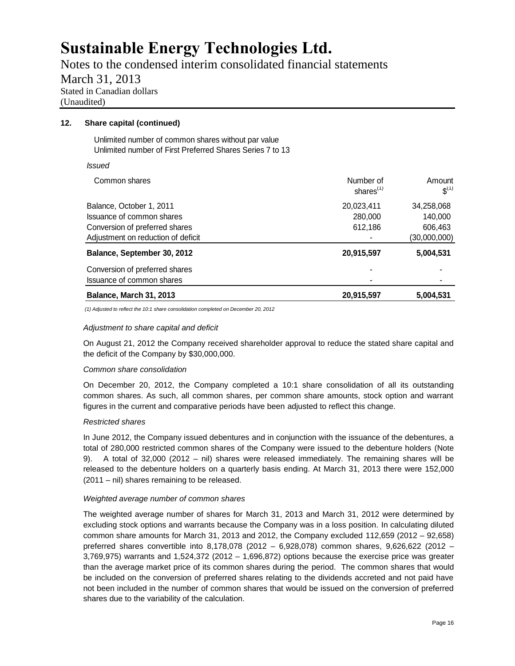Notes to the condensed interim consolidated financial statements March 31, 2013 Stated in Canadian dollars (Unaudited)

### **12. Share capital (continued)**

Unlimited number of common shares without par value Unlimited number of First Preferred Shares Series 7 to 13

*Issued*

| Common shares                      | Number of<br>shares $(1)$ | Amount<br>$S^{(1)}$ |
|------------------------------------|---------------------------|---------------------|
| Balance, October 1, 2011           | 20,023,411                | 34,258,068          |
| Issuance of common shares          | 280,000                   | 140,000             |
| Conversion of preferred shares     | 612,186                   | 606,463             |
| Adjustment on reduction of deficit |                           | (30,000,000)        |
| Balance, September 30, 2012        | 20,915,597                | 5,004,531           |
| Conversion of preferred shares     |                           |                     |
| Issuance of common shares          | ۰                         |                     |
| Balance, March 31, 2013            | 20,915,597                | 5,004,531           |

*(1) Adjusted to reflect the 10:1 share consolidation completed on December 20, 2012*

#### *Adjustment to share capital and deficit*

On August 21, 2012 the Company received shareholder approval to reduce the stated share capital and the deficit of the Company by \$30,000,000.

### *Common share consolidation*

On December 20, 2012, the Company completed a 10:1 share consolidation of all its outstanding common shares. As such, all common shares, per common share amounts, stock option and warrant figures in the current and comparative periods have been adjusted to reflect this change.

### *Restricted shares*

In June 2012, the Company issued debentures and in conjunction with the issuance of the debentures, a total of 280,000 restricted common shares of the Company were issued to the debenture holders (Note 9). A total of 32,000 (2012 – nil) shares were released immediately. The remaining shares will be released to the debenture holders on a quarterly basis ending. At March 31, 2013 there were 152,000 (2011 – nil) shares remaining to be released.

### *Weighted average number of common shares*

The weighted average number of shares for March 31, 2013 and March 31, 2012 were determined by excluding stock options and warrants because the Company was in a loss position. In calculating diluted common share amounts for March 31, 2013 and 2012, the Company excluded 112,659 (2012 – 92,658) preferred shares convertible into 8,178,078 (2012 – 6,928,078) common shares, 9,626,622 (2012 – 3,769,975) warrants and 1,524,372 (2012 – 1,696,872) options because the exercise price was greater than the average market price of its common shares during the period. The common shares that would be included on the conversion of preferred shares relating to the dividends accreted and not paid have not been included in the number of common shares that would be issued on the conversion of preferred shares due to the variability of the calculation.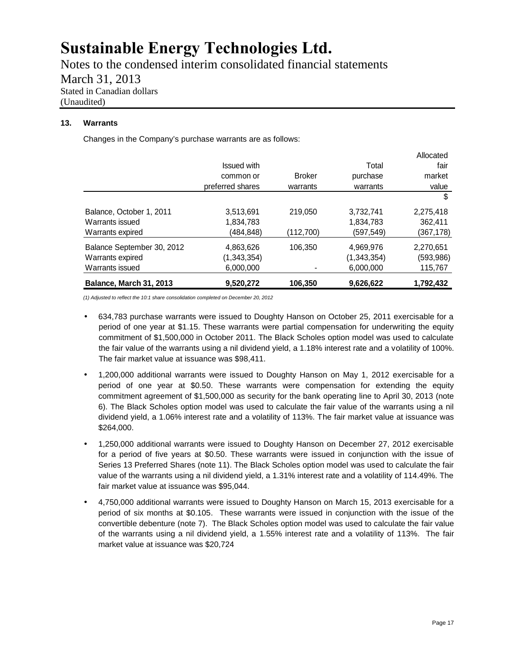Notes to the condensed interim consolidated financial statements March 31, 2013 Stated in Canadian dollars (Unaudited)

### **13. Warrants**

Changes in the Company's purchase warrants are as follows:

|                                |                  |               |             | Allocated  |
|--------------------------------|------------------|---------------|-------------|------------|
|                                | Issued with      |               | Total       | fair       |
|                                | common or        | <b>Broker</b> | purchase    | market     |
|                                | preferred shares | warrants      | warrants    | value      |
|                                |                  |               |             | \$         |
| Balance, October 1, 2011       | 3,513,691        | 219.050       | 3,732,741   | 2,275,418  |
| Warrants issued                | 1,834,783        |               | 1,834,783   | 362,411    |
| Warrants expired               | (484, 848)       | (112,700)     | (597,549)   | (367,178)  |
| Balance September 30, 2012     | 4,863,626        | 106.350       | 4,969,976   | 2,270,651  |
| Warrants expired               | (1,343,354)      |               | (1,343,354) | (593, 986) |
| Warrants issued                | 6,000,000        |               | 6,000,000   | 115,767    |
| <b>Balance, March 31, 2013</b> | 9,520,272        | 106,350       | 9,626,622   | 1,792,432  |

*(1) Adjusted to reflect the 10:1 share consolidation completed on December 20, 2012*

- 634,783 purchase warrants were issued to Doughty Hanson on October 25, 2011 exercisable for a period of one year at \$1.15. These warrants were partial compensation for underwriting the equity commitment of \$1,500,000 in October 2011. The Black Scholes option model was used to calculate the fair value of the warrants using a nil dividend yield, a 1.18% interest rate and a volatility of 100%. The fair market value at issuance was \$98,411.
- 1,200,000 additional warrants were issued to Doughty Hanson on May 1, 2012 exercisable for a period of one year at \$0.50. These warrants were compensation for extending the equity commitment agreement of \$1,500,000 as security for the bank operating line to April 30, 2013 (note 6). The Black Scholes option model was used to calculate the fair value of the warrants using a nil dividend yield, a 1.06% interest rate and a volatility of 113%. The fair market value at issuance was \$264,000.
- 1,250,000 additional warrants were issued to Doughty Hanson on December 27, 2012 exercisable for a period of five years at \$0.50. These warrants were issued in conjunction with the issue of Series 13 Preferred Shares (note 11). The Black Scholes option model was used to calculate the fair value of the warrants using a nil dividend yield, a 1.31% interest rate and a volatility of 114.49%. The fair market value at issuance was \$95,044.
- 4,750,000 additional warrants were issued to Doughty Hanson on March 15, 2013 exercisable for a period of six months at \$0.105. These warrants were issued in conjunction with the issue of the convertible debenture (note 7). The Black Scholes option model was used to calculate the fair value of the warrants using a nil dividend yield, a 1.55% interest rate and a volatility of 113%. The fair market value at issuance was \$20,724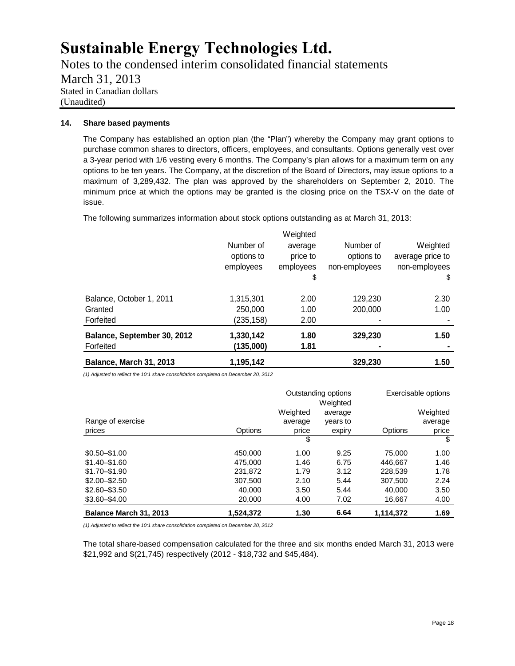Notes to the condensed interim consolidated financial statements March 31, 2013 Stated in Canadian dollars (Unaudited)

### **14. Share based payments**

The Company has established an option plan (the "Plan") whereby the Company may grant options to purchase common shares to directors, officers, employees, and consultants. Options generally vest over a 3-year period with 1/6 vesting every 6 months. The Company's plan allows for a maximum term on any options to be ten years. The Company, at the discretion of the Board of Directors, may issue options to a maximum of 3,289,432. The plan was approved by the shareholders on September 2, 2010. The minimum price at which the options may be granted is the closing price on the TSX-V on the date of issue.

The following summarizes information about stock options outstanding as at March 31, 2013:

| Balance, March 31, 2013     | 1,195,142  |           | 329,230       | 1.50             |
|-----------------------------|------------|-----------|---------------|------------------|
| Forfeited                   | (135,000)  | 1.81      |               |                  |
| Balance, September 30, 2012 | 1,330,142  | 1.80      | 329,230       | 1.50             |
| Forfeited                   | (235, 158) | 2.00      |               |                  |
| Granted                     | 250,000    | 1.00      | 200,000       | 1.00             |
| Balance, October 1, 2011    | 1,315,301  | 2.00      | 129,230       | 2.30             |
|                             |            | \$        |               | \$               |
|                             | employees  | employees | non-employees | non-employees    |
|                             | options to | price to  | options to    | average price to |
|                             | Number of  | average   | Number of     | Weighted         |
|                             |            | Weighted  |               |                  |

*(1) Adjusted to reflect the 10:1 share consolidation completed on December 20, 2012*

|                        |           | Outstanding options |          | Exercisable options |          |
|------------------------|-----------|---------------------|----------|---------------------|----------|
|                        |           |                     | Weighted |                     |          |
|                        |           | Weighted            | average  |                     | Weighted |
| Range of exercise      |           | average             | years to |                     | average  |
| prices                 | Options   | price               | expiry   | Options             | price    |
|                        |           | \$                  |          |                     | \$       |
| $$0.50 - $1.00$        | 450.000   | 1.00                | 9.25     | 75,000              | 1.00     |
| $$1.40 - $1.60$        | 475,000   | 1.46                | 6.75     | 446.667             | 1.46     |
| $$1.70 - $1.90$        | 231.872   | 1.79                | 3.12     | 228.539             | 1.78     |
| $$2.00 - $2.50$        | 307.500   | 2.10                | 5.44     | 307.500             | 2.24     |
| $$2.60 - $3.50$        | 40.000    | 3.50                | 5.44     | 40.000              | 3.50     |
| $$3.60 - $4.00$        | 20,000    | 4.00                | 7.02     | 16,667              | 4.00     |
| Balance March 31, 2013 | 1.524.372 | 1.30                | 6.64     | 1.114.372           | 1.69     |

*(1) Adjusted to reflect the 10:1 share consolidation completed on December 20, 2012*

The total share-based compensation calculated for the three and six months ended March 31, 2013 were \$21,992 and \$(21,745) respectively (2012 - \$18,732 and \$45,484).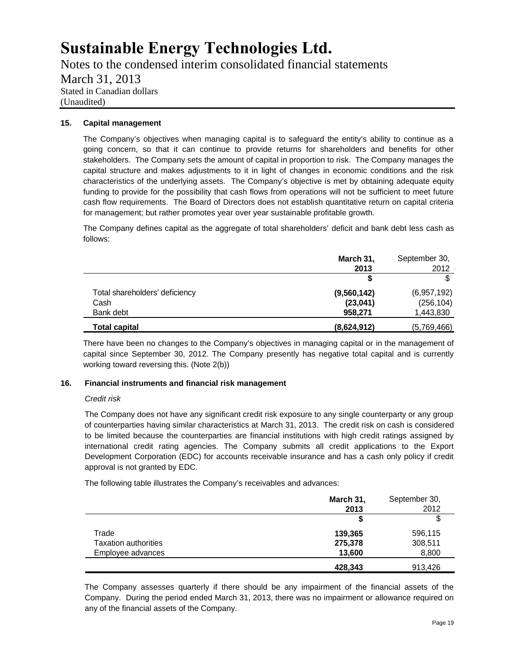Notes to the condensed interim consolidated financial statements March 31, 2013 Stated in Canadian dollars (Unaudited)

### **15. Capital management**

The Company's objectives when managing capital is to safeguard the entity's ability to continue as a going concern, so that it can continue to provide returns for shareholders and benefits for other stakeholders. The Company sets the amount of capital in proportion to risk. The Company manages the capital structure and makes adjustments to it in light of changes in economic conditions and the risk characteristics of the underlying assets. The Company's objective is met by obtaining adequate equity funding to provide for the possibility that cash flows from operations will not be sufficient to meet future cash flow requirements. The Board of Directors does not establish quantitative return on capital criteria for management; but rather promotes year over year sustainable profitable growth.

The Company defines capital as the aggregate of total shareholders' deficit and bank debt less cash as follows:

|                                | March 31,<br>2013 | September 30,<br>2012 |
|--------------------------------|-------------------|-----------------------|
|                                |                   | \$                    |
| Total shareholders' deficiency | (9,560,142)       | (6,957,192)           |
| Cash                           | (23, 041)         | (256, 104)            |
| Bank debt                      | 958,271           | 1,443,830             |
| <b>Total capital</b>           | (8,624,912)       | (5,769,466)           |

There have been no changes to the Company's objectives in managing capital or in the management of capital since September 30, 2012. The Company presently has negative total capital and is currently working toward reversing this. (Note 2(b))

### **16. Financial instruments and financial risk management**

### *Credit risk*

The Company does not have any significant credit risk exposure to any single counterparty or any group of counterparties having similar characteristics at March 31, 2013. The credit risk on cash is considered to be limited because the counterparties are financial institutions with high credit ratings assigned by international credit rating agencies. The Company submits all credit applications to the Export Development Corporation (EDC) for accounts receivable insurance and has a cash only policy if credit approval is not granted by EDC.

The following table illustrates the Company's receivables and advances:

|                             | March 31,<br>2013 | September 30,<br>2012 |
|-----------------------------|-------------------|-----------------------|
|                             |                   | \$                    |
| Trade                       | 139,365           | 596,115               |
| <b>Taxation authorities</b> | 275,378           | 308,511               |
| Employee advances           | 13,600            | 8,800                 |
|                             | 428,343           | 913,426               |

The Company assesses quarterly if there should be any impairment of the financial assets of the Company. During the period ended March 31, 2013, there was no impairment or allowance required on any of the financial assets of the Company.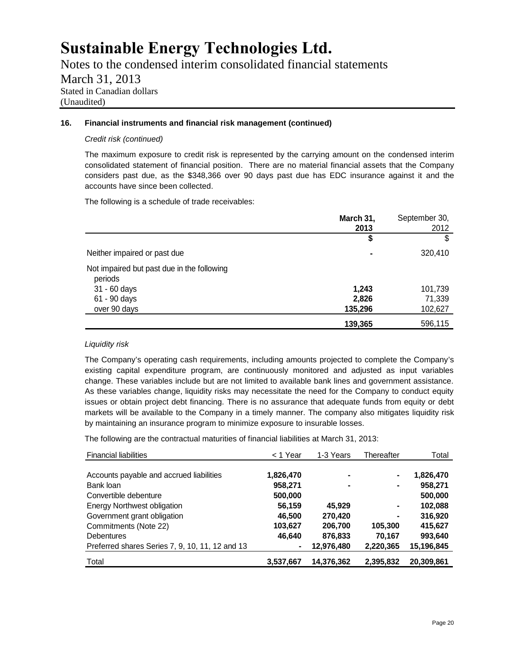Notes to the condensed interim consolidated financial statements March 31, 2013 Stated in Canadian dollars (Unaudited)

### **16. Financial instruments and financial risk management (continued)**

#### *Credit risk (continued)*

The maximum exposure to credit risk is represented by the carrying amount on the condensed interim consolidated statement of financial position. There are no material financial assets that the Company considers past due, as the \$348,366 over 90 days past due has EDC insurance against it and the accounts have since been collected.

The following is a schedule of trade receivables:

|                                                       | March 31,<br>2013 | September 30,<br>2012 |
|-------------------------------------------------------|-------------------|-----------------------|
|                                                       | \$                | \$                    |
| Neither impaired or past due                          | ٠                 | 320,410               |
| Not impaired but past due in the following<br>periods |                   |                       |
| 31 - 60 days                                          | 1,243             | 101,739               |
| 61 - 90 days                                          | 2,826             | 71,339                |
| over 90 days                                          | 135,296           | 102,627               |
|                                                       | 139,365           | 596,115               |

### *Liquidity risk*

The Company's operating cash requirements, including amounts projected to complete the Company's existing capital expenditure program, are continuously monitored and adjusted as input variables change. These variables include but are not limited to available bank lines and government assistance. As these variables change, liquidity risks may necessitate the need for the Company to conduct equity issues or obtain project debt financing. There is no assurance that adequate funds from equity or debt markets will be available to the Company in a timely manner. The company also mitigates liquidity risk by maintaining an insurance program to minimize exposure to insurable losses.

The following are the contractual maturities of financial liabilities at March 31, 2013:

| <b>Financial liabilities</b>                    | $<$ 1 Year | 1-3 Years  | Thereafter | Total      |
|-------------------------------------------------|------------|------------|------------|------------|
|                                                 |            |            |            |            |
| Accounts payable and accrued liabilities        | 1,826,470  | ۰          |            | 1,826,470  |
| Bank loan                                       | 958,271    | ۰          | ۰          | 958,271    |
| Convertible debenture                           | 500,000    |            |            | 500,000    |
| <b>Energy Northwest obligation</b>              | 56,159     | 45.929     | ۰          | 102,088    |
| Government grant obligation                     | 46.500     | 270.420    | ۰          | 316,920    |
| Commitments (Note 22)                           | 103,627    | 206,700    | 105,300    | 415.627    |
| <b>Debentures</b>                               | 46,640     | 876,833    | 70,167     | 993,640    |
| Preferred shares Series 7, 9, 10, 11, 12 and 13 | ۰          | 12,976,480 | 2,220,365  | 15,196,845 |
| Total                                           | 3,537,667  | 14,376,362 | 2,395,832  | 20,309,861 |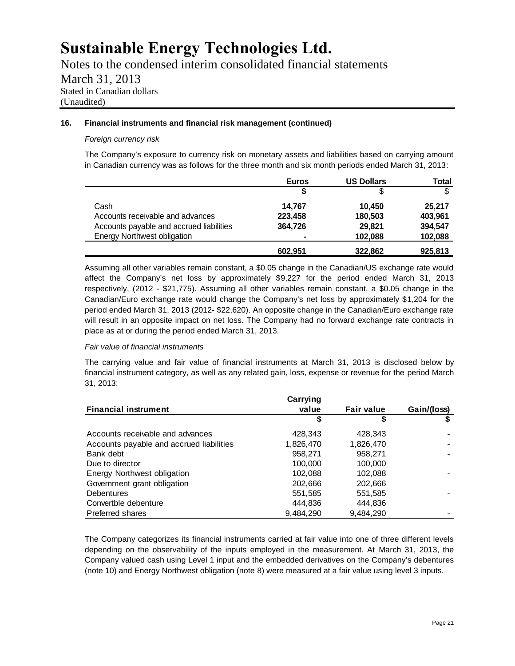Notes to the condensed interim consolidated financial statements March 31, 2013 Stated in Canadian dollars (Unaudited)

### **16. Financial instruments and financial risk management (continued)**

### *Foreign currency risk*

The Company's exposure to currency risk on monetary assets and liabilities based on carrying amount in Canadian currency was as follows for the three month and six month periods ended March 31, 2013:

|                                          | <b>Euros</b>             | <b>US Dollars</b> | Total   |
|------------------------------------------|--------------------------|-------------------|---------|
|                                          |                          | \$                | \$      |
| Cash                                     | 14.767                   | 10.450            | 25.217  |
| Accounts receivable and advances         | 223,458                  | 180,503           | 403,961 |
| Accounts payable and accrued liabilities | 364.726                  | 29.821            | 394,547 |
| <b>Energy Northwest obligation</b>       | $\overline{\phantom{a}}$ | 102,088           | 102,088 |
|                                          | 602,951                  | 322,862           | 925,813 |

Assuming all other variables remain constant, a \$0.05 change in the Canadian/US exchange rate would affect the Company's net loss by approximately \$9,227 for the period ended March 31, 2013 respectively, (2012 - \$21,775). Assuming all other variables remain constant, a \$0.05 change in the Canadian/Euro exchange rate would change the Company's net loss by approximately \$1,204 for the period ended March 31, 2013 (2012- \$22,620). An opposite change in the Canadian/Euro exchange rate will result in an opposite impact on net loss. The Company had no forward exchange rate contracts in place as at or during the period ended March 31, 2013.

### *Fair value of financial instruments*

The carrying value and fair value of financial instruments at March 31, 2013 is disclosed below by financial instrument category, as well as any related gain, loss, expense or revenue for the period March 31, 2013:

|                                          | Carrying  |                   |             |
|------------------------------------------|-----------|-------------------|-------------|
| <b>Financial instrument</b>              | value     | <b>Fair value</b> | Gain/(loss) |
|                                          | S         | S                 |             |
| Accounts receivable and advances         | 428,343   | 428,343           |             |
| Accounts payable and accrued liabilities | 1,826,470 | 1,826,470         |             |
| Bank debt                                | 958,271   | 958,271           |             |
| Due to director                          | 100,000   | 100,000           |             |
| Energy Northwest obligation              | 102,088   | 102,088           |             |
| Government grant obligation              | 202,666   | 202,666           |             |
| <b>Debentures</b>                        | 551,585   | 551,585           |             |
| Convertble debenture                     | 444.836   | 444,836           |             |
| Preferred shares                         | 9.484.290 | 9,484,290         |             |

The Company categorizes its financial instruments carried at fair value into one of three different levels depending on the observability of the inputs employed in the measurement. At March 31, 2013, the Company valued cash using Level 1 input and the embedded derivatives on the Company's debentures (note 10) and Energy Northwest obligation (note 8) were measured at a fair value using level 3 inputs.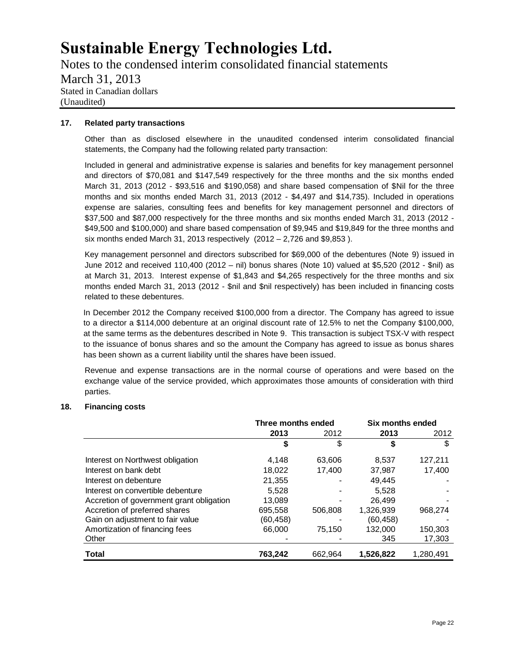Notes to the condensed interim consolidated financial statements March 31, 2013 Stated in Canadian dollars (Unaudited)

#### **17. Related party transactions**

Other than as disclosed elsewhere in the unaudited condensed interim consolidated financial statements, the Company had the following related party transaction:

Included in general and administrative expense is salaries and benefits for key management personnel and directors of \$70,081 and \$147,549 respectively for the three months and the six months ended March 31, 2013 (2012 - \$93,516 and \$190,058) and share based compensation of \$Nil for the three months and six months ended March 31, 2013 (2012 - \$4,497 and \$14,735). Included in operations expense are salaries, consulting fees and benefits for key management personnel and directors of \$37,500 and \$87,000 respectively for the three months and six months ended March 31, 2013 (2012 - \$49,500 and \$100,000) and share based compensation of \$9,945 and \$19,849 for the three months and six months ended March 31, 2013 respectively (2012 – 2,726 and \$9,853 ).

Key management personnel and directors subscribed for \$69,000 of the debentures (Note 9) issued in June 2012 and received 110,400 (2012 – nil) bonus shares (Note 10) valued at \$5,520 (2012 - \$nil) as at March 31, 2013. Interest expense of \$1,843 and \$4,265 respectively for the three months and six months ended March 31, 2013 (2012 - \$nil and \$nil respectively) has been included in financing costs related to these debentures.

In December 2012 the Company received \$100,000 from a director. The Company has agreed to issue to a director a \$114,000 debenture at an original discount rate of 12.5% to net the Company \$100,000, at the same terms as the debentures described in Note 9. This transaction is subject TSX-V with respect to the issuance of bonus shares and so the amount the Company has agreed to issue as bonus shares has been shown as a current liability until the shares have been issued.

Revenue and expense transactions are in the normal course of operations and were based on the exchange value of the service provided, which approximates those amounts of consideration with third parties.

### **18. Financing costs**

|                                          | Three months ended |         | Six months ended |           |
|------------------------------------------|--------------------|---------|------------------|-----------|
|                                          | 2013               | 2012    | 2013             | 2012      |
|                                          | S                  | \$      | \$               | \$        |
| Interest on Northwest obligation         | 4.148              | 63.606  | 8.537            | 127,211   |
| Interest on bank debt                    | 18,022             | 17,400  | 37,987           | 17,400    |
| Interest on debenture                    | 21,355             |         | 49,445           |           |
| Interest on convertible debenture        | 5.528              |         | 5.528            |           |
| Accretion of government grant obligation | 13,089             |         | 26.499           |           |
| Accretion of preferred shares            | 695,558            | 506.808 | 1,326,939        | 968,274   |
| Gain on adjustment to fair value         | (60, 458)          |         | (60, 458)        |           |
| Amortization of financing fees           | 66,000             | 75.150  | 132,000          | 150,303   |
| Other                                    |                    |         | 345              | 17,303    |
| <b>Total</b>                             | 763,242            | 662,964 | 1,526,822        | 1,280,491 |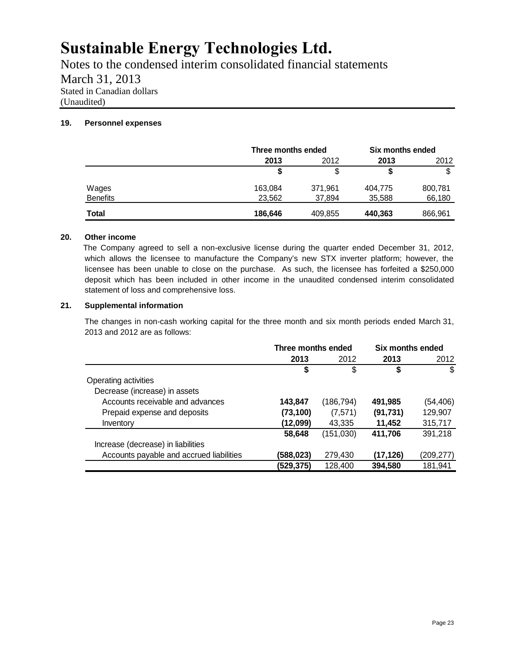Notes to the condensed interim consolidated financial statements March 31, 2013 Stated in Canadian dollars (Unaudited)

### **19. Personnel expenses**

|                 |         | Three months ended |         | Six months ended |  |  |  |      |
|-----------------|---------|--------------------|---------|------------------|--|--|--|------|
|                 | 2013    | 2012               |         | 2013             |  |  |  | 2012 |
|                 | \$      | \$                 |         |                  |  |  |  |      |
| Wages           | 163,084 | 371,961            | 404,775 | 800,781          |  |  |  |      |
| <b>Benefits</b> | 23,562  | 37,894             | 35,588  | 66,180           |  |  |  |      |
| Total           | 186,646 | 409,855            | 440,363 | 866,961          |  |  |  |      |

### **20. Other income**

The Company agreed to sell a non-exclusive license during the quarter ended December 31, 2012, which allows the licensee to manufacture the Company's new STX inverter platform; however, the licensee has been unable to close on the purchase. As such, the licensee has forfeited a \$250,000 deposit which has been included in other income in the unaudited condensed interim consolidated statement of loss and comprehensive loss.

### **21. Supplemental information**

The changes in non-cash working capital for the three month and six month periods ended March 31, 2013 and 2012 are as follows:

|                                          | Three months ended |           | Six months ended |           |  |      |  |
|------------------------------------------|--------------------|-----------|------------------|-----------|--|------|--|
|                                          | 2013               | 2012      |                  | 2013      |  | 2012 |  |
|                                          |                    | \$        |                  | \$        |  |      |  |
| Operating activities                     |                    |           |                  |           |  |      |  |
| Decrease (increase) in assets            |                    |           |                  |           |  |      |  |
| Accounts receivable and advances         | 143,847            | (186,794) | 491,985          | (54, 406) |  |      |  |
| Prepaid expense and deposits             | (73, 100)          | (7,571)   | (91, 731)        | 129,907   |  |      |  |
| Inventory                                | (12,099)           | 43,335    | 11,452           | 315,717   |  |      |  |
|                                          | 58.648             | (151,030) | 411,706          | 391,218   |  |      |  |
| Increase (decrease) in liabilities       |                    |           |                  |           |  |      |  |
| Accounts payable and accrued liabilities | (588,023)          | 279,430   | (17, 126)        | (209,277) |  |      |  |
|                                          | (529,375)          | 128,400   | 394,580          | 181.941   |  |      |  |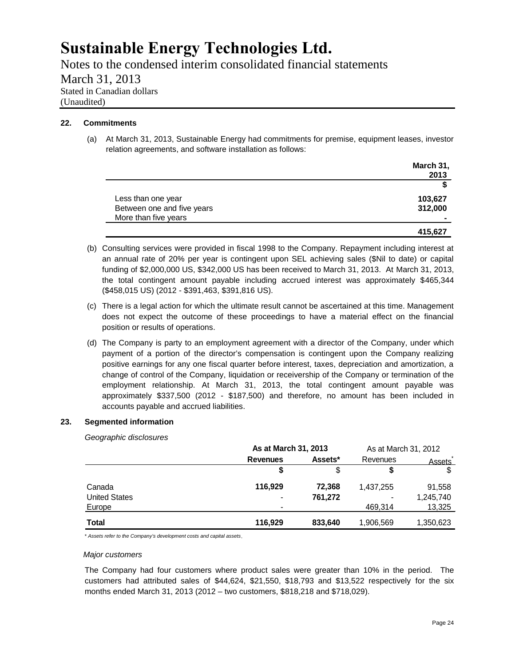Notes to the condensed interim consolidated financial statements March 31, 2013 Stated in Canadian dollars (Unaudited)

### **22. Commitments**

(a) At March 31, 2013, Sustainable Energy had commitments for premise, equipment leases, investor relation agreements, and software installation as follows:

|                            | March 31, |
|----------------------------|-----------|
|                            | 2013      |
|                            |           |
| Less than one year         | 103,627   |
| Between one and five years | 312,000   |
| More than five years       | -         |
|                            | 415,627   |

- (b) Consulting services were provided in fiscal 1998 to the Company. Repayment including interest at an annual rate of 20% per year is contingent upon SEL achieving sales (\$Nil to date) or capital funding of \$2,000,000 US, \$342,000 US has been received to March 31, 2013. At March 31, 2013, the total contingent amount payable including accrued interest was approximately \$465,344 (\$458,015 US) (2012 - \$391,463, \$391,816 US).
- (c) There is a legal action for which the ultimate result cannot be ascertained at this time. Management does not expect the outcome of these proceedings to have a material effect on the financial position or results of operations.
- (d) The Company is party to an employment agreement with a director of the Company, under which payment of a portion of the director's compensation is contingent upon the Company realizing positive earnings for any one fiscal quarter before interest, taxes, depreciation and amortization, a change of control of the Company, liquidation or receivership of the Company or termination of the employment relationship. At March 31, 2013, the total contingent amount payable was approximately \$337,500 (2012 - \$187,500) and therefore, no amount has been included in accounts payable and accrued liabilities.

### **23. Segmented information**

*Geographic disclosures*

|                      | As at March 31, 2013 |         | As at March 31, 2012 |           |
|----------------------|----------------------|---------|----------------------|-----------|
|                      | <b>Revenues</b>      | Assets* |                      | Assets    |
|                      | S                    | \$      | \$                   |           |
| Canada               | 116.929              | 72.368  | 1,437,255            | 91,558    |
| <b>United States</b> |                      | 761,272 | ۰                    | 1,245,740 |
| Europe               |                      |         | 469.314              | 13,325    |
| Total                | 116.929              | 833.640 | 1,906,569            | 1,350,623 |

\* *Assets refer to the Company's development costs and capital assets.*

#### *Major customers*

The Company had four customers where product sales were greater than 10% in the period. The customers had attributed sales of \$44,624, \$21,550, \$18,793 and \$13,522 respectively for the six months ended March 31, 2013 (2012 – two customers, \$818,218 and \$718,029).